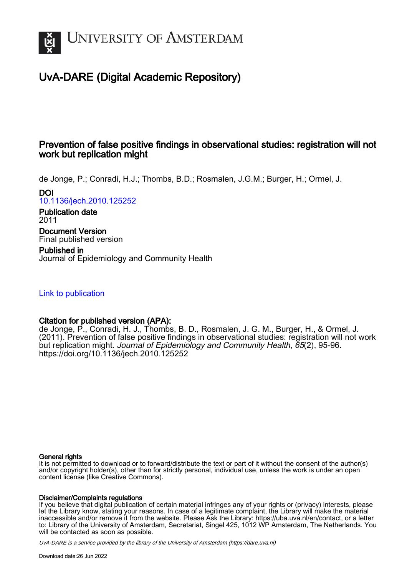

## UvA-DARE (Digital Academic Repository)

## Prevention of false positive findings in observational studies: registration will not work but replication might

de Jonge, P.; Conradi, H.J.; Thombs, B.D.; Rosmalen, J.G.M.; Burger, H.; Ormel, J. DOI

[10.1136/jech.2010.125252](https://doi.org/10.1136/jech.2010.125252)

Publication date 2011

Document Version Final published version

Published in Journal of Epidemiology and Community Health

[Link to publication](https://dare.uva.nl/personal/pure/en/publications/prevention-of-false-positive-findings-in-observational-studies-registration-will-not-work-but-replication-might(e1dc136e-df50-45dd-bb54-2dcc53b781f4).html)

### Citation for published version (APA):

de Jonge, P., Conradi, H. J., Thombs, B. D., Rosmalen, J. G. M., Burger, H., & Ormel, J. (2011). Prevention of false positive findings in observational studies: registration will not work but replication might. Journal of Epidemiology and Community Health, 65(2), 95-96. <https://doi.org/10.1136/jech.2010.125252>

#### General rights

It is not permitted to download or to forward/distribute the text or part of it without the consent of the author(s) and/or copyright holder(s), other than for strictly personal, individual use, unless the work is under an open content license (like Creative Commons).

#### Disclaimer/Complaints regulations

If you believe that digital publication of certain material infringes any of your rights or (privacy) interests, please let the Library know, stating your reasons. In case of a legitimate complaint, the Library will make the material inaccessible and/or remove it from the website. Please Ask the Library: https://uba.uva.nl/en/contact, or a letter to: Library of the University of Amsterdam, Secretariat, Singel 425, 1012 WP Amsterdam, The Netherlands. You will be contacted as soon as possible.

UvA-DARE is a service provided by the library of the University of Amsterdam (http*s*://dare.uva.nl)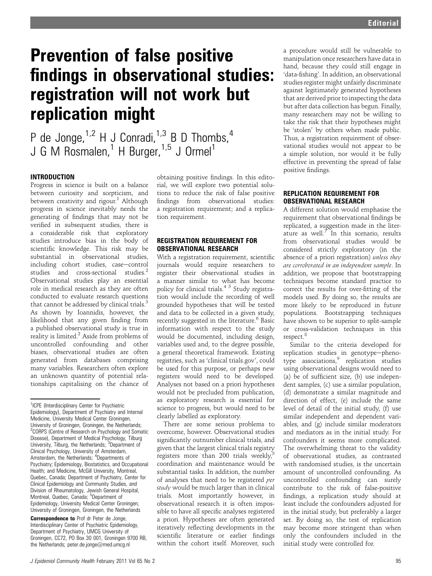# Prevention of false positive findings in observational studies: registration will not work but replication might

P de Jonge,  $1.2$  H J Conradi,  $1.3$  B D Thombs,  $4$ J G M Rosmalen,<sup>1</sup> H Burger,<sup>1,5</sup> J Ormel<sup>1</sup>

#### INTRODUCTION

Progress in science is built on a balance between curiosity and scepticism, and between creativity and rigour.<sup>1</sup> Although progress in science inevitably needs the generating of findings that may not be verified in subsequent studies, there is a considerable risk that exploratory studies introduce bias in the body of scientific knowledge. This risk may be substantial in observational studies, including cohort studies, case-control studies and cross-sectional studies.<sup>2</sup> Observational studies play an essential role in medical research as they are often conducted to evaluate research questions that cannot be addressed by clinical trials.<sup>3</sup> As shown by Ioannidis, however, the likelihood that any given finding from a published observational study is true in reality is limited. $<sup>2</sup>$  Aside from problems of</sup> uncontrolled confounding and other biases, observational studies are often generated from databases comprising many variables. Researchers often explore an unknown quantity of potential relationships capitalising on the chance of

**Correspondence to Prof dr Peter de Jonge,** Interdisciplinary Center of Psychiatric Epidemiology, Department of Psychiatry, UMCG University of Groningen, CC72, PO Box 30 001, Groningen 9700 RB, the Netherlands; peter.de.jonge@med.umcg.nl

obtaining positive findings. In this editorial, we will explore two potential solutions to reduce the risk of false positive findings from observational studies: a registration requirement; and a replication requirement.

#### REGISTRATION REQUIREMENT FOR OBSERVATIONAL RESEARCH

With a registration requirement, scientific journals would require researchers to register their observational studies in a manner similar to what has become policy for clinical trials.4 5 Study registration would include the recording of well grounded hypotheses that will be tested and data to be collected in a given study, recently suggested in the literature.<sup>6</sup> Basic information with respect to the study would be documented, including design, variables used and, to the degree possible, a general theoretical framework. Existing registries, such as 'clinical trials.gov', could be used for this purpose, or perhaps new registers would need to be developed. Analyses not based on a priori hypotheses would not be precluded from publication, as exploratory research is essential for science to progress, but would need to be clearly labelled as exploratory.

There are some serious problems to overcome, however. Observational studies significantly outnumber clinical trials, and given that the largest clinical trials registry registers more than 200 trials weekly, $5$ coordination and maintenance would be substantial tasks. In addition, the number of analyses that need to be registered per study would be much larger than in clinical trials. Most importantly however, in observational research it is often impossible to have all specific analyses registered a priori. Hypotheses are often generated iteratively reflecting developments in the scientific literature or earlier findings within the cohort itself. Moreover, such

a procedure would still be vulnerable to manipulation once researchers have data in hand, because they could still engage in 'data-fishing'. In addition, an observational studies register might unfairly discriminate against legitimately generated hypotheses that are derived prior to inspecting the data but after data collection has begun. Finally, many researchers may not be willing to take the risk that their hypotheses might be 'stolen' by others when made public. Thus, a registration requirement of observational studies would not appear to be a simple solution, nor would it be fully effective in preventing the spread of false positive findings.

#### REPLICATION REQUIREMENT FOR OBSERVATIONAL RESEARCH

A different solution would emphasise the requirement that observational findings be replicated, a suggestion made in the literature as well.<sup> $7\degree$ </sup>In this scenario, results from observational studies would be considered strictly exploratory (in the absence of a priori registration) unless they are corroborated in an independent sample. In addition, we propose that bootstrapping techniques become standard practice to correct the results for over-fitting of the models used. By doing so, the results are more likely to be reproduced in future populations. Bootstrapping techniques have shown to be superior to split-sample or cross-validation techniques in this respect.<sup>8</sup>

Similar to the criteria developed for replication studies in genotype-phenotype associations,<sup>9</sup> replication studies using observational designs would need to (a) be of sufficient size, (b) use independent samples, (c) use a similar population, (d) demonstrate a similar magnitude and direction of effect, (e) include the same level of detail of the initial study, (f) use similar independent and dependent variables, and (g) include similar moderators and mediators as in the initial study. For confounders it seems more complicated. The overwhelming threat to the validity of observational studies, as contrasted with randomised studies, is the uncertain amount of uncontrolled confounding. As uncontrolled confounding can surely contribute to the risk of false-positive findings, a replication study should at least include the confounders adjusted for in the initial study, but preferably a larger set. By doing so, the test of replication may become more stringent than when only the confounders included in the initial study were controlled for.

<sup>&</sup>lt;sup>1</sup>ICPE (Interdisciplinary Center for Psychiatric Epidemiology), Department of Psychiatry and Internal Medicine, University Medical Center Groningen, University of Groningen, Groningen, the Netherlands; 2 CORPS (Centre of Research on Psychology and Somatic Disease), Department of Medical Psychology, Tilburg<br>University, Tilburg, the Netherlands; <sup>3</sup>Department of Clinical Psychology, University of Amsterdam, Amsterdam, the Netherlands; <sup>4</sup>Departments of Psychiatry; Epidemiology, Biostatistics, and Occupational Health; and Medicine, McGill University, Montreal, Quebec, Canada; Department of Psychiatry, Center for Clinical Epidemiology and Community Studies, and Division of Rheumatology, Jewish General Hospital, Montreal, Quebec, Canada; <sup>5</sup>Department of Epidemiology, University Medical Center Groningen, University of Groningen, Groningen, the Netherlands